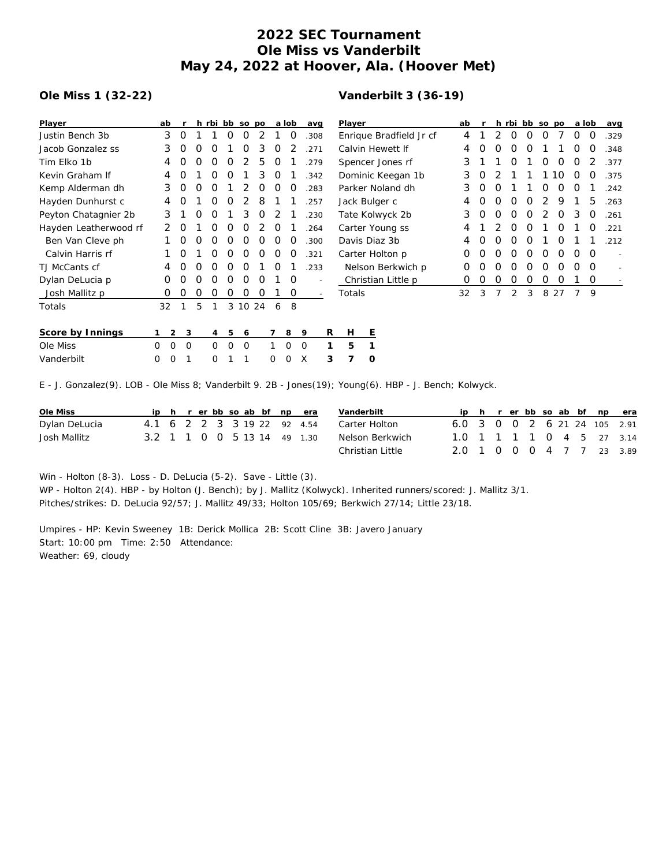## **2022 SEC Tournament Ole Miss vs Vanderbilt May 24, 2022 at Hoover, Ala. (Hoover Met)**

## **Ole Miss 1 (32-22)**

## **Vanderbilt 3 (36-19)**

| Player                                                                                                 | ab       |                |          | h rbi bb so po |          |       |   |          | a lob    | avg      |                          | Player                  |                    |          | ab |   |   | h rbi bb so po |   |   |          |                  | a lob    | avq  |
|--------------------------------------------------------------------------------------------------------|----------|----------------|----------|----------------|----------|-------|---|----------|----------|----------|--------------------------|-------------------------|--------------------|----------|----|---|---|----------------|---|---|----------|------------------|----------|------|
| Justin Bench 3b                                                                                        | 3        | 0              |          |                | 0        | Ο     | 2 |          | $\Omega$ | .308     |                          | Enrique Bradfield Jr cf |                    |          |    |   |   | O              | O | O |          | $\Omega$         | $\Omega$ | .329 |
| Jacob Gonzalez ss                                                                                      | 3        | $\Omega$       | O        | O              |          | Ο     | 3 | 0        | 2        | .271     |                          | Calvin Hewett If        |                    |          |    |   |   |                | O |   |          | $\left($ )       | $\Omega$ | .348 |
| Tim Elko 1b                                                                                            | 4        | 0              | 0        | 0              | 0        | 2     | 5 | 0        |          | .279     |                          | Spencer Jones rf        |                    |          |    |   |   | Ο              |   | Ο | $\Omega$ | $\Omega$         |          | .377 |
| Kevin Graham If                                                                                        | 4        | O              |          | O              | O        |       | 3 | 0        |          | .342     |                          | Dominic Keegan 1b       |                    |          |    | O |   |                |   |   | 10       | O                |          | .375 |
| Kemp Alderman dh                                                                                       | 3        | 0              | O        | O              |          |       | Ο | 0        | $\Omega$ | .283     |                          | Parker Noland dh        |                    |          |    | O |   |                |   | Ω | $\Omega$ | $\left( \right)$ |          | .242 |
| Hayden Dunhurst c                                                                                      | 4        |                |          | Ο              | O        | 2     | 8 |          |          | .257     |                          | Jack Bulger c           |                    |          |    | Ο | Ο | Ο              | Ο |   | 9        |                  | 5        | .263 |
| Peyton Chatagnier 2b                                                                                   | 3        |                | 0        | 0              |          | 3     | 0 | 2        |          | .230     |                          | Tate Kolwyck 2b         |                    |          |    | O | Ο | 0              | O | 2 | 0        | 3                | O        | .261 |
| Hayden Leatherwood rf                                                                                  | 2        | O              |          | O              | O        | 0     | 2 | 0        |          | .264     |                          | Carter Young ss         |                    |          |    |   |   | Ο              | O |   | O        |                  |          | .221 |
| Ben Van Cleve ph                                                                                       |          | 0              | O        | O              | O        | Ο     | Ο | 0        | $\Omega$ | .300     |                          | Davis Diaz 3b           |                    |          |    | O | Ω | Ω              | Ω |   | O        |                  |          | .212 |
| Calvin Harris rf                                                                                       |          | O              |          | Ω              | O        | Ο     | Ο | 0        | O        | .321     |                          | Carter Holton p         |                    |          |    |   | Ω | Ω              | O | Ω | Ω        | $\left( \right)$ | $\Omega$ |      |
| TJ McCants cf                                                                                          | 4        | 0              | 0        | O              | 0        | 0     |   | 0        |          | .233     |                          | Nelson Berkwich p       |                    |          | 0  | Ω | Ο | Ο              | Ο | O | $\Omega$ | $\left( \right)$ | O        |      |
| Dylan DeLucia p                                                                                        | 0        | 0              | O        | 0              | 0        | 0     | 0 |          | $\Omega$ |          |                          |                         | Christian Little p |          | 0  | 0 | 0 | 0              | 0 | 0 | 0        |                  | 0        |      |
| Josh Mallitz p                                                                                         | 0        | 0              | 0        | 0              | 0        | 0     | Ο |          | 0        |          | $\overline{\phantom{a}}$ | Totals                  |                    |          | 32 | 3 | 7 | 2              | 3 |   | 8 2 7    | 7                | 9        |      |
| Totals                                                                                                 | 32       | 1              | 5        |                | 3        | 10 24 |   | 6        | 8        |          |                          |                         |                    |          |    |   |   |                |   |   |          |                  |          |      |
|                                                                                                        |          |                |          |                |          |       |   |          |          |          |                          |                         |                    |          |    |   |   |                |   |   |          |                  |          |      |
| Score by Innings                                                                                       |          | $\overline{2}$ | 3        | 4              | 5        | 6     |   | 7        | 8        | 9        | R                        | H                       |                    | 트        |    |   |   |                |   |   |          |                  |          |      |
| Ole Miss                                                                                               | $\Omega$ | $\Omega$       | $\Omega$ | $\Omega$       | $\Omega$ | 0     |   |          | $\Omega$ | $\Omega$ | 1                        | 5                       |                    |          |    |   |   |                |   |   |          |                  |          |      |
| Vanderbilt                                                                                             | 0        | $\Omega$       |          | 0              |          |       |   | $\Omega$ | $\Omega$ | X        | 3                        | 7                       |                    | $\Omega$ |    |   |   |                |   |   |          |                  |          |      |
| E - J. Gonzalez(9). LOB - Ole Miss 8; Vanderbilt 9. 2B - Jones(19); Young(6). HBP - J. Bench; Kolwyck. |          |                |          |                |          |       |   |          |          |          |                          |                         |                    |          |    |   |   |                |   |   |          |                  |          |      |

| Ole Miss      |  |  |  |  | ip h r er bb so ab bf np era | Vanderbilt       |                              |  |  |  |  | ip h r er bb so ab bf np era |
|---------------|--|--|--|--|------------------------------|------------------|------------------------------|--|--|--|--|------------------------------|
| Dylan DeLucia |  |  |  |  | 4.1 6 2 2 3 3 19 22 92 4.54  | Carter Holton    | 6.0 3 0 0 2 6 21 24 105 2.91 |  |  |  |  |                              |
| Josh Mallitz  |  |  |  |  | 3.2 1 1 0 0 5 13 14 49 1.30  | Nelson Berkwich  | 1.0 1 1 1 1 0 4 5 27 3.14    |  |  |  |  |                              |
|               |  |  |  |  |                              | Christian Little | 2.0 1 0 0 0 4 7 7 23 3.89    |  |  |  |  |                              |

Win - Holton (8-3). Loss - D. DeLucia (5-2). Save - Little (3). WP - Holton 2(4). HBP - by Holton (J. Bench); by J. Mallitz (Kolwyck). Inherited runners/scored: J. Mallitz 3/1. Pitches/strikes: D. DeLucia 92/57; J. Mallitz 49/33; Holton 105/69; Berkwich 27/14; Little 23/18.

Umpires - HP: Kevin Sweeney 1B: Derick Mollica 2B: Scott Cline 3B: Javero January Start: 10:00 pm Time: 2:50 Attendance: Weather: 69, cloudy